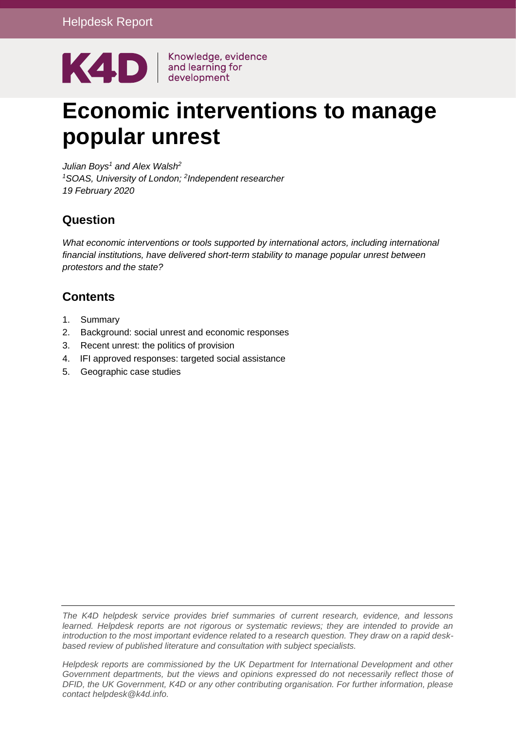

# **Economic interventions to manage popular unrest**

*Julian Boys<sup>1</sup> and Alex Walsh<sup>2</sup> <sup>1</sup>SOAS, University of London; <sup>2</sup> Independent researcher 19 February 2020*

## **Question**

*What economic interventions or tools supported by international actors, including international financial institutions, have delivered short-term stability to manage popular unrest between protestors and the state?*

# **Contents**

- 1. Summary
- 2. Background: social unrest and economic responses
- 3. Recent unrest: the politics of provision
- 4. IFI approved responses: targeted social assistance
- 5. Geographic case studies

*The K4D helpdesk service provides brief summaries of current research, evidence, and lessons learned. Helpdesk reports are not rigorous or systematic reviews; they are intended to provide an introduction to the most important evidence related to a research question. They draw on a rapid deskbased review of published literature and consultation with subject specialists.* 

*Helpdesk reports are commissioned by the UK Department for International Development and other Government departments, but the views and opinions expressed do not necessarily reflect those of DFID, the UK Government, K4D or any other contributing organisation. For further information, please contact helpdesk@k4d.info.*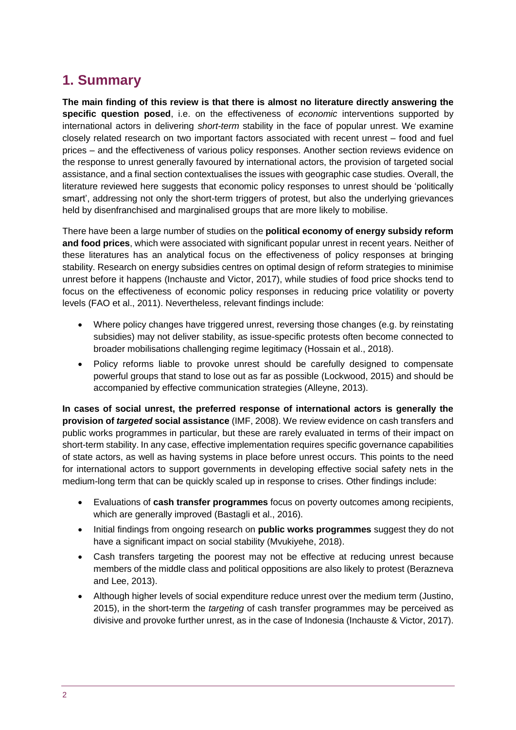# **1. Summary**

**The main finding of this review is that there is almost no literature directly answering the specific question posed**, i.e. on the effectiveness of *economic* interventions supported by international actors in delivering *short-term* stability in the face of popular unrest. We examine closely related research on two important factors associated with recent unrest – food and fuel prices – and the effectiveness of various policy responses. Another section reviews evidence on the response to unrest generally favoured by international actors, the provision of targeted social assistance, and a final section contextualises the issues with geographic case studies. Overall, the literature reviewed here suggests that economic policy responses to unrest should be 'politically smart', addressing not only the short-term triggers of protest, but also the underlying grievances held by disenfranchised and marginalised groups that are more likely to mobilise.

There have been a large number of studies on the **political economy of energy subsidy reform and food prices**, which were associated with significant popular unrest in recent years. Neither of these literatures has an analytical focus on the effectiveness of policy responses at bringing stability. Research on energy subsidies centres on optimal design of reform strategies to minimise unrest before it happens (Inchauste and Victor, 2017), while studies of food price shocks tend to focus on the effectiveness of economic policy responses in reducing price volatility or poverty levels (FAO et al., 2011). Nevertheless, relevant findings include:

- Where policy changes have triggered unrest, reversing those changes (e.g. by reinstating subsidies) may not deliver stability, as issue-specific protests often become connected to broader mobilisations challenging regime legitimacy (Hossain et al., 2018).
- Policy reforms liable to provoke unrest should be carefully designed to compensate powerful groups that stand to lose out as far as possible (Lockwood, 2015) and should be accompanied by effective communication strategies (Alleyne, 2013).

**In cases of social unrest, the preferred response of international actors is generally the provision of** *targeted* **social assistance** (IMF, 2008). We review evidence on cash transfers and public works programmes in particular, but these are rarely evaluated in terms of their impact on short-term stability. In any case, effective implementation requires specific governance capabilities of state actors, as well as having systems in place before unrest occurs. This points to the need for international actors to support governments in developing effective social safety nets in the medium-long term that can be quickly scaled up in response to crises. Other findings include:

- Evaluations of **cash transfer programmes** focus on poverty outcomes among recipients, which are generally improved (Bastagli et al., 2016).
- Initial findings from ongoing research on **public works programmes** suggest they do not have a significant impact on social stability (Mvukiyehe, 2018).
- Cash transfers targeting the poorest may not be effective at reducing unrest because members of the middle class and political oppositions are also likely to protest (Berazneva and Lee, 2013).
- Although higher levels of social expenditure reduce unrest over the medium term (Justino, 2015), in the short-term the *targeting* of cash transfer programmes may be perceived as divisive and provoke further unrest, as in the case of Indonesia (Inchauste & Victor, 2017).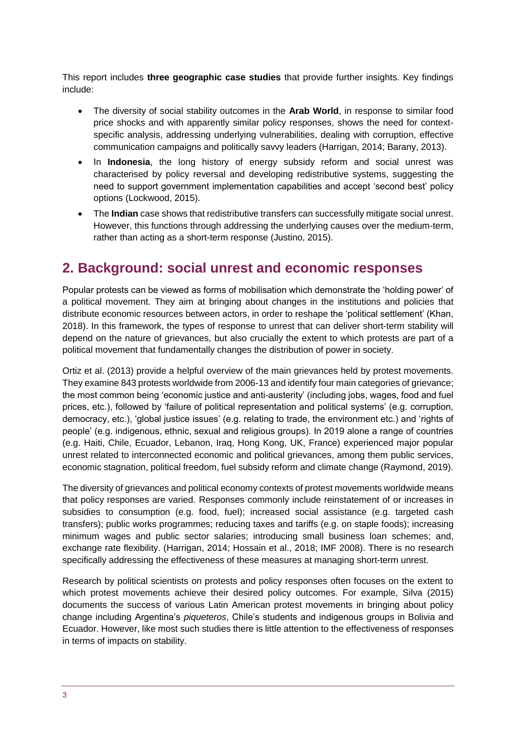This report includes **three geographic case studies** that provide further insights. Key findings include:

- The diversity of social stability outcomes in the **Arab World**, in response to similar food price shocks and with apparently similar policy responses, shows the need for contextspecific analysis, addressing underlying vulnerabilities, dealing with corruption, effective communication campaigns and politically savvy leaders (Harrigan, 2014; Barany, 2013).
- In **Indonesia**, the long history of energy subsidy reform and social unrest was characterised by policy reversal and developing redistributive systems, suggesting the need to support government implementation capabilities and accept 'second best' policy options (Lockwood, 2015).
- The **Indian** case shows that redistributive transfers can successfully mitigate social unrest. However, this functions through addressing the underlying causes over the medium-term, rather than acting as a short-term response (Justino, 2015).

# **2. Background: social unrest and economic responses**

Popular protests can be viewed as forms of mobilisation which demonstrate the 'holding power' of a political movement. They aim at bringing about changes in the institutions and policies that distribute economic resources between actors, in order to reshape the 'political settlement' (Khan, 2018). In this framework, the types of response to unrest that can deliver short-term stability will depend on the nature of grievances, but also crucially the extent to which protests are part of a political movement that fundamentally changes the distribution of power in society.

Ortiz et al. (2013) provide a helpful overview of the main grievances held by protest movements. They examine 843 protests worldwide from 2006-13 and identify four main categories of grievance; the most common being 'economic justice and anti-austerity' (including jobs, wages, food and fuel prices, etc.), followed by 'failure of political representation and political systems' (e.g. corruption, democracy, etc.), 'global justice issues' (e.g. relating to trade, the environment etc.) and 'rights of people' (e.g. indigenous, ethnic, sexual and religious groups). In 2019 alone a range of countries (e.g. Haiti, Chile, Ecuador, Lebanon, Iraq, Hong Kong, UK, France) experienced major popular unrest related to interconnected economic and political grievances, among them public services, economic stagnation, political freedom, fuel subsidy reform and climate change (Raymond, 2019).

The diversity of grievances and political economy contexts of protest movements worldwide means that policy responses are varied. Responses commonly include reinstatement of or increases in subsidies to consumption (e.g. food, fuel); increased social assistance (e.g. targeted cash transfers); public works programmes; reducing taxes and tariffs (e.g. on staple foods); increasing minimum wages and public sector salaries; introducing small business loan schemes; and, exchange rate flexibility. (Harrigan, 2014; Hossain et al., 2018; IMF 2008). There is no research specifically addressing the effectiveness of these measures at managing short-term unrest.

Research by political scientists on protests and policy responses often focuses on the extent to which protest movements achieve their desired policy outcomes. For example, Silva (2015) documents the success of various Latin American protest movements in bringing about policy change including Argentina's *piqueteros*, Chile's students and indigenous groups in Bolivia and Ecuador. However, like most such studies there is little attention to the effectiveness of responses in terms of impacts on stability.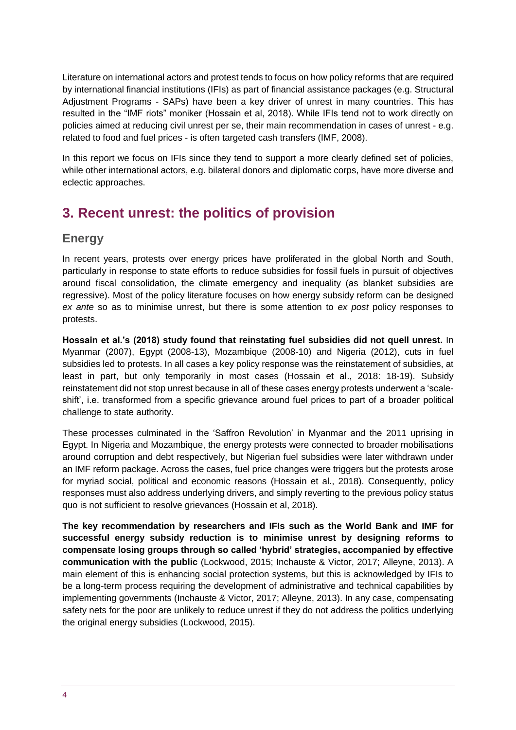Literature on international actors and protest tends to focus on how policy reforms that are required by international financial institutions (IFIs) as part of financial assistance packages (e.g. Structural Adjustment Programs - SAPs) have been a key driver of unrest in many countries. This has resulted in the "IMF riots" moniker (Hossain et al, 2018). While IFIs tend not to work directly on policies aimed at reducing civil unrest per se, their main recommendation in cases of unrest - e.g. related to food and fuel prices - is often targeted cash transfers (IMF, 2008).

In this report we focus on IFIs since they tend to support a more clearly defined set of policies, while other international actors, e.g. bilateral donors and diplomatic corps, have more diverse and eclectic approaches.

# **3. Recent unrest: the politics of provision**

### **Energy**

In recent years, protests over energy prices have proliferated in the global North and South, particularly in response to state efforts to reduce subsidies for fossil fuels in pursuit of objectives around fiscal consolidation, the climate emergency and inequality (as blanket subsidies are regressive). Most of the policy literature focuses on how energy subsidy reform can be designed *ex ante* so as to minimise unrest, but there is some attention to *ex post* policy responses to protests.

**Hossain et al.'s (2018) study found that reinstating fuel subsidies did not quell unrest.** In Myanmar (2007), Egypt (2008-13), Mozambique (2008-10) and Nigeria (2012), cuts in fuel subsidies led to protests. In all cases a key policy response was the reinstatement of subsidies, at least in part, but only temporarily in most cases (Hossain et al., 2018: 18-19). Subsidy reinstatement did not stop unrest because in all of these cases energy protests underwent a 'scaleshift', i.e. transformed from a specific grievance around fuel prices to part of a broader political challenge to state authority.

These processes culminated in the 'Saffron Revolution' in Myanmar and the 2011 uprising in Egypt. In Nigeria and Mozambique, the energy protests were connected to broader mobilisations around corruption and debt respectively, but Nigerian fuel subsidies were later withdrawn under an IMF reform package. Across the cases, fuel price changes were triggers but the protests arose for myriad social, political and economic reasons (Hossain et al., 2018). Consequently, policy responses must also address underlying drivers, and simply reverting to the previous policy status quo is not sufficient to resolve grievances (Hossain et al, 2018).

**The key recommendation by researchers and IFIs such as the World Bank and IMF for successful energy subsidy reduction is to minimise unrest by designing reforms to compensate losing groups through so called 'hybrid' strategies, accompanied by effective communication with the public** (Lockwood, 2015; Inchauste & Victor, 2017; Alleyne, 2013). A main element of this is enhancing social protection systems, but this is acknowledged by IFIs to be a long-term process requiring the development of administrative and technical capabilities by implementing governments (Inchauste & Victor, 2017; Alleyne, 2013). In any case, compensating safety nets for the poor are unlikely to reduce unrest if they do not address the politics underlying the original energy subsidies (Lockwood, 2015).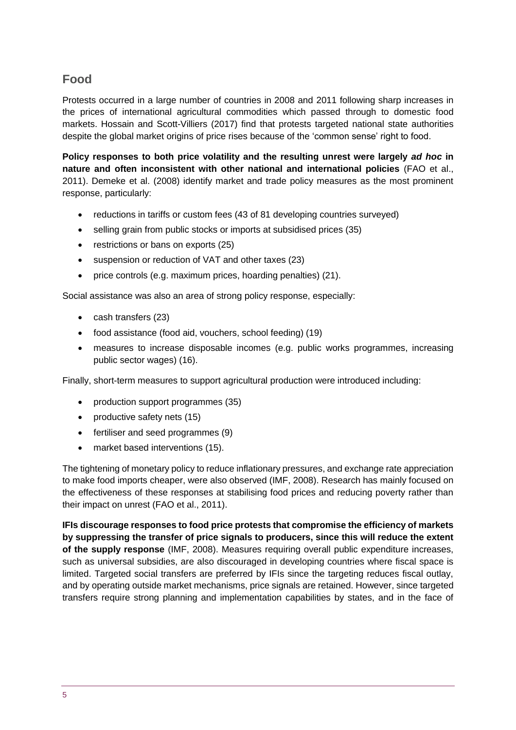# **Food**

Protests occurred in a large number of countries in 2008 and 2011 following sharp increases in the prices of international agricultural commodities which passed through to domestic food markets. Hossain and Scott-Villiers (2017) find that protests targeted national state authorities despite the global market origins of price rises because of the 'common sense' right to food.

**Policy responses to both price volatility and the resulting unrest were largely** *ad hoc* **in nature and often inconsistent with other national and international policies** (FAO et al., 2011). Demeke et al. (2008) identify market and trade policy measures as the most prominent response, particularly:

- reductions in tariffs or custom fees (43 of 81 developing countries surveyed)
- selling grain from public stocks or imports at subsidised prices (35)
- restrictions or bans on exports (25)
- suspension or reduction of VAT and other taxes (23)
- price controls (e.g. maximum prices, hoarding penalties) (21).

Social assistance was also an area of strong policy response, especially:

- cash transfers (23)
- food assistance (food aid, vouchers, school feeding) (19)
- measures to increase disposable incomes (e.g. public works programmes, increasing public sector wages) (16).

Finally, short-term measures to support agricultural production were introduced including:

- production support programmes (35)
- productive safety nets (15)
- fertiliser and seed programmes (9)
- market based interventions (15).

The tightening of monetary policy to reduce inflationary pressures, and exchange rate appreciation to make food imports cheaper, were also observed (IMF, 2008). Research has mainly focused on the effectiveness of these responses at stabilising food prices and reducing poverty rather than their impact on unrest (FAO et al., 2011).

**IFIs discourage responses to food price protests that compromise the efficiency of markets by suppressing the transfer of price signals to producers, since this will reduce the extent of the supply response** (IMF, 2008). Measures requiring overall public expenditure increases, such as universal subsidies, are also discouraged in developing countries where fiscal space is limited. Targeted social transfers are preferred by IFIs since the targeting reduces fiscal outlay, and by operating outside market mechanisms, price signals are retained. However, since targeted transfers require strong planning and implementation capabilities by states, and in the face of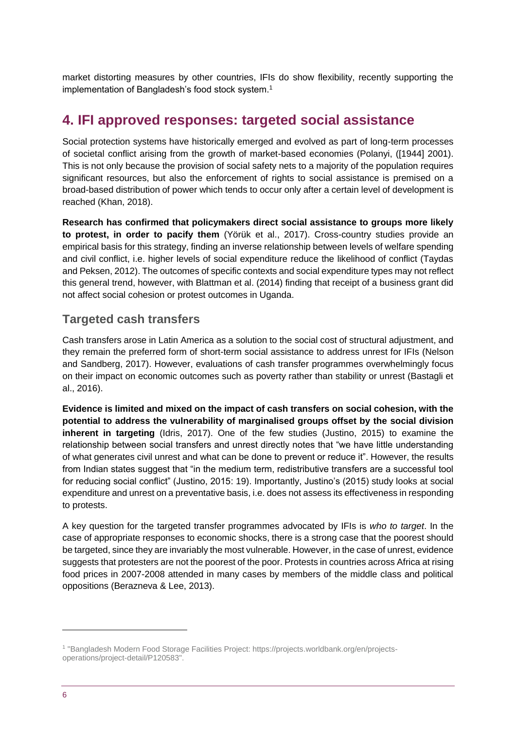market distorting measures by other countries, IFIs do show flexibility, recently supporting the implementation of Bangladesh's food stock system.<sup>1</sup>

# **4. IFI approved responses: targeted social assistance**

Social protection systems have historically emerged and evolved as part of long-term processes of societal conflict arising from the growth of market-based economies (Polanyi, ([1944] 2001). This is not only because the provision of social safety nets to a majority of the population requires significant resources, but also the enforcement of rights to social assistance is premised on a broad-based distribution of power which tends to occur only after a certain level of development is reached (Khan, 2018).

**Research has confirmed that policymakers direct social assistance to groups more likely to protest, in order to pacify them** (Yörük et al., 2017). Cross-country studies provide an empirical basis for this strategy, finding an inverse relationship between levels of welfare spending and civil conflict, i.e. higher levels of social expenditure reduce the likelihood of conflict (Taydas and Peksen, 2012). The outcomes of specific contexts and social expenditure types may not reflect this general trend, however, with Blattman et al. (2014) finding that receipt of a business grant did not affect social cohesion or protest outcomes in Uganda.

### **Targeted cash transfers**

Cash transfers arose in Latin America as a solution to the social cost of structural adjustment, and they remain the preferred form of short-term social assistance to address unrest for IFIs (Nelson and Sandberg, 2017). However, evaluations of cash transfer programmes overwhelmingly focus on their impact on economic outcomes such as poverty rather than stability or unrest (Bastagli et al., 2016).

**Evidence is limited and mixed on the impact of cash transfers on social cohesion, with the potential to address the vulnerability of marginalised groups offset by the social division inherent in targeting** (Idris, 2017). One of the few studies (Justino, 2015) to examine the relationship between social transfers and unrest directly notes that "we have little understanding of what generates civil unrest and what can be done to prevent or reduce it". However, the results from Indian states suggest that "in the medium term, redistributive transfers are a successful tool for reducing social conflict" (Justino, 2015: 19). Importantly, Justino's (2015) study looks at social expenditure and unrest on a preventative basis, i.e. does not assess its effectiveness in responding to protests.

A key question for the targeted transfer programmes advocated by IFIs is *who to target*. In the case of appropriate responses to economic shocks, there is a strong case that the poorest should be targeted, since they are invariably the most vulnerable. However, in the case of unrest, evidence suggests that protesters are not the poorest of the poor. Protests in countries across Africa at rising food prices in 2007-2008 attended in many cases by members of the middle class and political oppositions (Berazneva & Lee, 2013).

-

<sup>1</sup> "Bangladesh Modern Food Storage Facilities Project: https://projects.worldbank.org/en/projectsoperations/project-detail/P120583".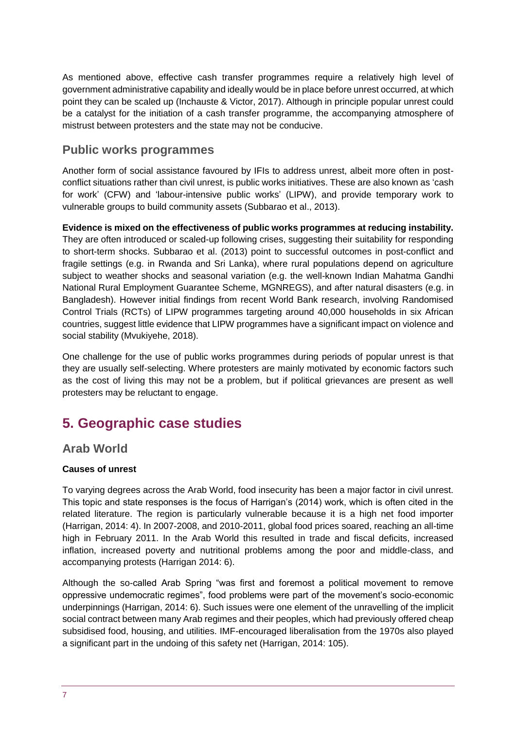As mentioned above, effective cash transfer programmes require a relatively high level of government administrative capability and ideally would be in place before unrest occurred, at which point they can be scaled up (Inchauste & Victor, 2017). Although in principle popular unrest could be a catalyst for the initiation of a cash transfer programme, the accompanying atmosphere of mistrust between protesters and the state may not be conducive.

### **Public works programmes**

Another form of social assistance favoured by IFIs to address unrest, albeit more often in postconflict situations rather than civil unrest, is public works initiatives. These are also known as 'cash for work' (CFW) and 'labour-intensive public works' (LIPW), and provide temporary work to vulnerable groups to build community assets (Subbarao et al., 2013).

**Evidence is mixed on the effectiveness of public works programmes at reducing instability.** They are often introduced or scaled-up following crises, suggesting their suitability for responding to short-term shocks. Subbarao et al. (2013) point to successful outcomes in post-conflict and fragile settings (e.g. in Rwanda and Sri Lanka), where rural populations depend on agriculture subject to weather shocks and seasonal variation (e.g. the well-known Indian Mahatma Gandhi National Rural Employment Guarantee Scheme, MGNREGS), and after natural disasters (e.g. in Bangladesh). However initial findings from recent World Bank research, involving Randomised Control Trials (RCTs) of LIPW programmes targeting around 40,000 households in six African countries, suggest little evidence that LIPW programmes have a significant impact on violence and social stability (Mvukiyehe, 2018).

One challenge for the use of public works programmes during periods of popular unrest is that they are usually self-selecting. Where protesters are mainly motivated by economic factors such as the cost of living this may not be a problem, but if political grievances are present as well protesters may be reluctant to engage.

# **5. Geographic case studies**

### **Arab World**

#### **Causes of unrest**

To varying degrees across the Arab World, food insecurity has been a major factor in civil unrest. This topic and state responses is the focus of Harrigan's (2014) work, which is often cited in the related literature. The region is particularly vulnerable because it is a high net food importer (Harrigan, 2014: 4). In 2007-2008, and 2010-2011, global food prices soared, reaching an all-time high in February 2011. In the Arab World this resulted in trade and fiscal deficits, increased inflation, increased poverty and nutritional problems among the poor and middle-class, and accompanying protests (Harrigan 2014: 6).

Although the so-called Arab Spring "was first and foremost a political movement to remove oppressive undemocratic regimes", food problems were part of the movement's socio-economic underpinnings (Harrigan, 2014: 6). Such issues were one element of the unravelling of the implicit social contract between many Arab regimes and their peoples, which had previously offered cheap subsidised food, housing, and utilities. IMF-encouraged liberalisation from the 1970s also played a significant part in the undoing of this safety net (Harrigan, 2014: 105).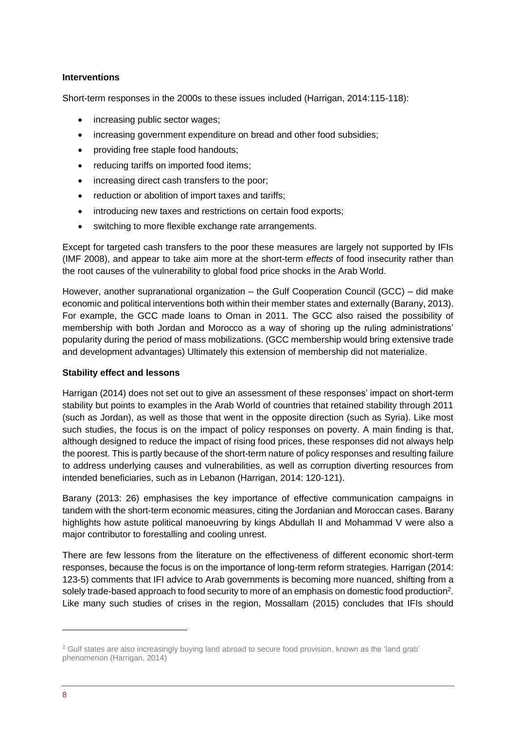#### **Interventions**

Short-term responses in the 2000s to these issues included (Harrigan, 2014:115-118):

- increasing public sector wages;
- increasing government expenditure on bread and other food subsidies;
- providing free staple food handouts;
- reducing tariffs on imported food items;
- increasing direct cash transfers to the poor;
- reduction or abolition of import taxes and tariffs;
- introducing new taxes and restrictions on certain food exports;
- switching to more flexible exchange rate arrangements.

Except for targeted cash transfers to the poor these measures are largely not supported by IFIs (IMF 2008), and appear to take aim more at the short-term *effects* of food insecurity rather than the root causes of the vulnerability to global food price shocks in the Arab World.

However, another supranational organization – the Gulf Cooperation Council (GCC) – did make economic and political interventions both within their member states and externally (Barany, 2013). For example, the GCC made loans to Oman in 2011. The GCC also raised the possibility of membership with both Jordan and Morocco as a way of shoring up the ruling administrations' popularity during the period of mass mobilizations. (GCC membership would bring extensive trade and development advantages) Ultimately this extension of membership did not materialize.

#### **Stability effect and lessons**

Harrigan (2014) does not set out to give an assessment of these responses' impact on short-term stability but points to examples in the Arab World of countries that retained stability through 2011 (such as Jordan), as well as those that went in the opposite direction (such as Syria). Like most such studies, the focus is on the impact of policy responses on poverty. A main finding is that, although designed to reduce the impact of rising food prices, these responses did not always help the poorest. This is partly because of the short-term nature of policy responses and resulting failure to address underlying causes and vulnerabilities, as well as corruption diverting resources from intended beneficiaries, such as in Lebanon (Harrigan, 2014: 120-121).

Barany (2013: 26) emphasises the key importance of effective communication campaigns in tandem with the short-term economic measures, citing the Jordanian and Moroccan cases. Barany highlights how astute political manoeuvring by kings Abdullah II and Mohammad V were also a major contributor to forestalling and cooling unrest.

There are few lessons from the literature on the effectiveness of different economic short-term responses, because the focus is on the importance of long-term reform strategies. Harrigan (2014: 123-5) comments that IFI advice to Arab governments is becoming more nuanced, shifting from a solely trade-based approach to food security to more of an emphasis on domestic food production<sup>2</sup>. Like many such studies of crises in the region, Mossallam (2015) concludes that IFIs should

-

<sup>&</sup>lt;sup>2</sup> Gulf states are also increasingly buying land abroad to secure food provision, known as the 'land grab' phenomenon (Harrigan, 2014)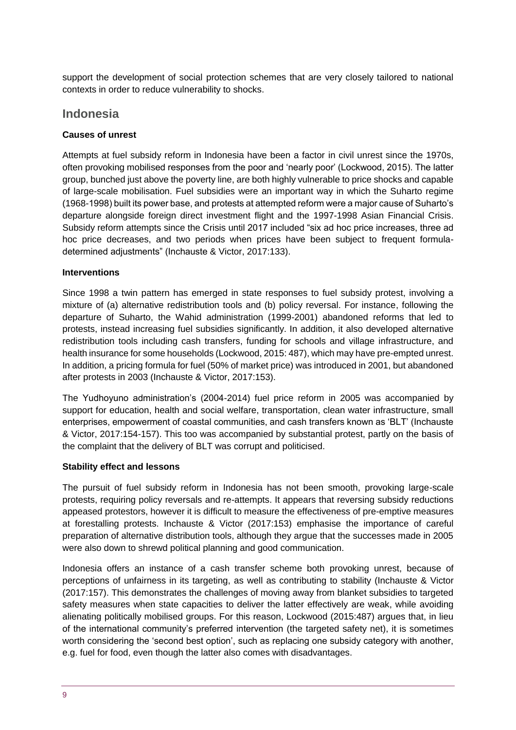support the development of social protection schemes that are very closely tailored to national contexts in order to reduce vulnerability to shocks.

### **Indonesia**

#### **Causes of unrest**

Attempts at fuel subsidy reform in Indonesia have been a factor in civil unrest since the 1970s, often provoking mobilised responses from the poor and 'nearly poor' (Lockwood, 2015). The latter group, bunched just above the poverty line, are both highly vulnerable to price shocks and capable of large-scale mobilisation. Fuel subsidies were an important way in which the Suharto regime (1968-1998) built its power base, and protests at attempted reform were a major cause of Suharto's departure alongside foreign direct investment flight and the 1997-1998 Asian Financial Crisis. Subsidy reform attempts since the Crisis until 2017 included "six ad hoc price increases, three ad hoc price decreases, and two periods when prices have been subject to frequent formuladetermined adjustments" (Inchauste & Victor, 2017:133).

#### **Interventions**

Since 1998 a twin pattern has emerged in state responses to fuel subsidy protest, involving a mixture of (a) alternative redistribution tools and (b) policy reversal. For instance, following the departure of Suharto, the Wahid administration (1999-2001) abandoned reforms that led to protests, instead increasing fuel subsidies significantly. In addition, it also developed alternative redistribution tools including cash transfers, funding for schools and village infrastructure, and health insurance for some households (Lockwood, 2015: 487), which may have pre-empted unrest. In addition, a pricing formula for fuel (50% of market price) was introduced in 2001, but abandoned after protests in 2003 (Inchauste & Victor, 2017:153).

The Yudhoyuno administration's (2004-2014) fuel price reform in 2005 was accompanied by support for education, health and social welfare, transportation, clean water infrastructure, small enterprises, empowerment of coastal communities, and cash transfers known as 'BLT' (Inchauste & Victor, 2017:154-157). This too was accompanied by substantial protest, partly on the basis of the complaint that the delivery of BLT was corrupt and politicised.

#### **Stability effect and lessons**

The pursuit of fuel subsidy reform in Indonesia has not been smooth, provoking large-scale protests, requiring policy reversals and re-attempts. It appears that reversing subsidy reductions appeased protestors, however it is difficult to measure the effectiveness of pre-emptive measures at forestalling protests. Inchauste & Victor (2017:153) emphasise the importance of careful preparation of alternative distribution tools, although they argue that the successes made in 2005 were also down to shrewd political planning and good communication.

Indonesia offers an instance of a cash transfer scheme both provoking unrest, because of perceptions of unfairness in its targeting, as well as contributing to stability (Inchauste & Victor (2017:157). This demonstrates the challenges of moving away from blanket subsidies to targeted safety measures when state capacities to deliver the latter effectively are weak, while avoiding alienating politically mobilised groups. For this reason, Lockwood (2015:487) argues that, in lieu of the international community's preferred intervention (the targeted safety net), it is sometimes worth considering the 'second best option', such as replacing one subsidy category with another, e.g. fuel for food, even though the latter also comes with disadvantages.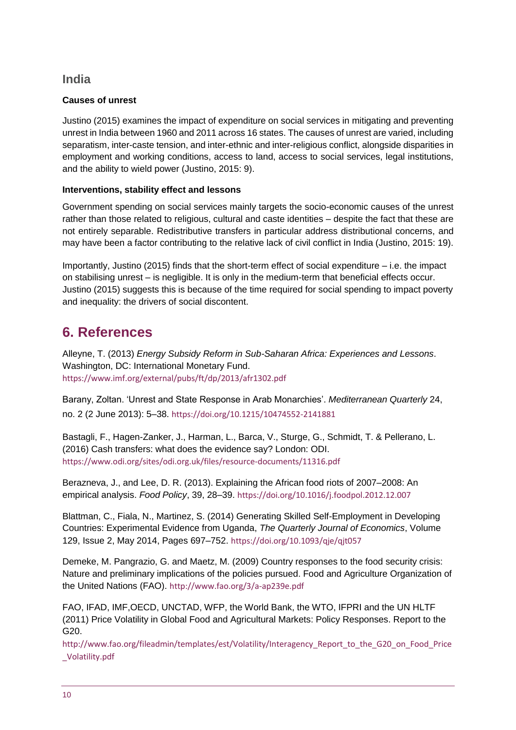### **India**

#### **Causes of unrest**

Justino (2015) examines the impact of expenditure on social services in mitigating and preventing unrest in India between 1960 and 2011 across 16 states. The causes of unrest are varied, including separatism, inter-caste tension, and inter-ethnic and inter-religious conflict, alongside disparities in employment and working conditions, access to land, access to social services, legal institutions, and the ability to wield power (Justino, 2015: 9).

#### **Interventions, stability effect and lessons**

Government spending on social services mainly targets the socio-economic causes of the unrest rather than those related to religious, cultural and caste identities – despite the fact that these are not entirely separable. Redistributive transfers in particular address distributional concerns, and may have been a factor contributing to the relative lack of civil conflict in India (Justino, 2015: 19).

Importantly, Justino (2015) finds that the short-term effect of social expenditure – i.e. the impact on stabilising unrest – is negligible. It is only in the medium-term that beneficial effects occur. Justino (2015) suggests this is because of the time required for social spending to impact poverty and inequality: the drivers of social discontent.

# **6. References**

Alleyne, T. (2013) *Energy Subsidy Reform in Sub-Saharan Africa: Experiences and Lessons*. Washington, DC: International Monetary Fund. <https://www.imf.org/external/pubs/ft/dp/2013/afr1302.pdf>

Barany, Zoltan. 'Unrest and State Response in Arab Monarchies'. *Mediterranean Quarterly* 24, no. 2 (2 June 2013): 5–38. <https://doi.org/10.1215/10474552-2141881>

Bastagli, F., Hagen-Zanker, J., Harman, L., Barca, V., Sturge, G., Schmidt, T. & Pellerano, L. (2016) Cash transfers: what does the evidence say? London: ODI. <https://www.odi.org/sites/odi.org.uk/files/resource-documents/11316.pdf>

Berazneva, J., and Lee, D. R. (2013). Explaining the African food riots of 2007–2008: An empirical analysis. *Food Policy*, 39, 28–39. <https://doi.org/10.1016/j.foodpol.2012.12.007>

Blattman, C., Fiala, N., Martinez, S. (2014) Generating Skilled Self-Employment in Developing Countries: Experimental Evidence from Uganda, *The Quarterly Journal of Economics*, Volume 129, Issue 2, May 2014, Pages 697–752. <https://doi.org/10.1093/qje/qjt057>

Demeke, M. Pangrazio, G. and Maetz, M. (2009) Country responses to the food security crisis: Nature and preliminary implications of the policies pursued. Food and Agriculture Organization of the United Nations (FAO). <http://www.fao.org/3/a-ap239e.pdf>

FAO, IFAD, IMF,OECD, UNCTAD, WFP, the World Bank, the WTO, IFPRI and the UN HLTF (2011) Price Volatility in Global Food and Agricultural Markets: Policy Responses. Report to the G20.

[http://www.fao.org/fileadmin/templates/est/Volatility/Interagency\\_Report\\_to\\_the\\_G20\\_on\\_Food\\_Price](http://www.fao.org/fileadmin/templates/est/Volatility/Interagency_Report_to_the_G20_on_Food_Price_Volatility.pdf) [\\_Volatility.pdf](http://www.fao.org/fileadmin/templates/est/Volatility/Interagency_Report_to_the_G20_on_Food_Price_Volatility.pdf)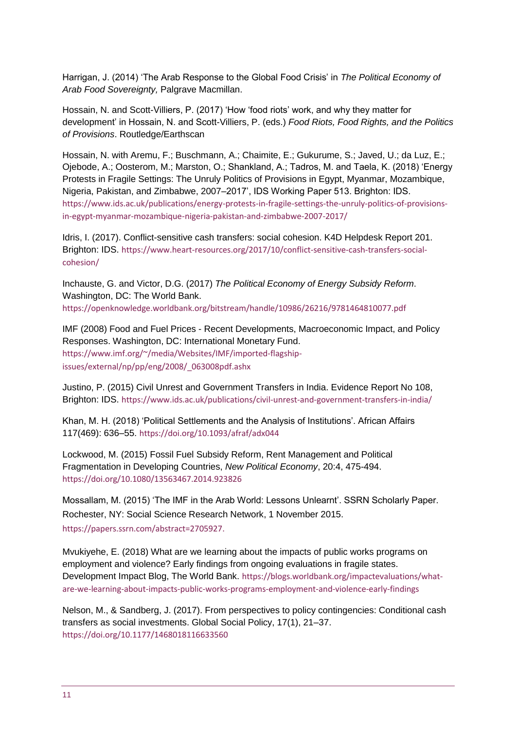Harrigan, J. (2014) 'The Arab Response to the Global Food Crisis' in *The Political Economy of Arab Food Sovereignty,* Palgrave Macmillan.

Hossain, N. and Scott-Villiers, P. (2017) 'How 'food riots' work, and why they matter for development' in Hossain, N. and Scott-Villiers, P. (eds.) *Food Riots, Food Rights, and the Politics of Provisions*. Routledge/Earthscan

Hossain, N. with Aremu, F.; Buschmann, A.; Chaimite, E.; Gukurume, S.; Javed, U.; da Luz, E.; Ojebode, A.; Oosterom, M.; Marston, O.; Shankland, A.; Tadros, M. and Taela, K. (2018) 'Energy Protests in Fragile Settings: The Unruly Politics of Provisions in Egypt, Myanmar, Mozambique, Nigeria, Pakistan, and Zimbabwe, 2007–2017', IDS Working Paper 513. Brighton: IDS. [https://www.ids.ac.uk/publications/energy-protests-in-fragile-settings-the-unruly-politics-of-provisions](https://www.ids.ac.uk/publications/energy-protests-in-fragile-settings-the-unruly-politics-of-provisions-in-egypt-myanmar-mozambique-nigeria-pakistan-and-zimbabwe-2007-2017/)[in-egypt-myanmar-mozambique-nigeria-pakistan-and-zimbabwe-2007-2017/](https://www.ids.ac.uk/publications/energy-protests-in-fragile-settings-the-unruly-politics-of-provisions-in-egypt-myanmar-mozambique-nigeria-pakistan-and-zimbabwe-2007-2017/)

Idris, I. (2017). Conflict-sensitive cash transfers: social cohesion. K4D Helpdesk Report 201. Brighton: IDS. [https://www.heart-resources.org/2017/10/conflict-sensitive-cash-transfers-social](https://www.heart-resources.org/2017/10/conflict-sensitive-cash-transfers-social-cohesion/)[cohesion/](https://www.heart-resources.org/2017/10/conflict-sensitive-cash-transfers-social-cohesion/)

Inchauste, G. and Victor, D.G. (2017) *The Political Economy of Energy Subsidy Reform*. Washington, DC: The World Bank. [https://openknowledge.worldbank.org/bitstream/handle/10986/26216/9781464810077.pdf](https://openknowledge.worldbank.org/bitstream/handle/10986/26216/9781464810077.pdf?sequence=2&isAllowed=y)

IMF (2008) Food and Fuel Prices - Recent Developments, Macroeconomic Impact, and Policy Responses. Washington, DC: International Monetary Fund. https://www.imf.org/~/media/Websites/IMF/imported-flagshipissues/external/np/pp/eng/2008/\_063008pdf.ashx

Justino, P. (2015) Civil Unrest and Government Transfers in India. Evidence Report No 108, Brighton: IDS. <https://www.ids.ac.uk/publications/civil-unrest-and-government-transfers-in-india/>

Khan, M. H. (2018) 'Political Settlements and the Analysis of Institutions'. African Affairs 117(469): 636–55. <https://doi.org/10.1093/afraf/adx044>

Lockwood, M. (2015) Fossil Fuel Subsidy Reform, Rent Management and Political Fragmentation in Developing Countries, *New Political Economy*, 20:4, 475-494. https://doi.org/10.1080/13563467.2014.923826

Mossallam, M. (2015) 'The IMF in the Arab World: Lessons Unlearnt'. SSRN Scholarly Paper. Rochester, NY: Social Science Research Network, 1 November 2015. [https://papers.ssrn.com/abstract=2705927.](https://papers.ssrn.com/abstract=2705927)

Mvukiyehe, E. (2018) What are we learning about the impacts of public works programs on employment and violence? Early findings from ongoing evaluations in fragile states. Development Impact Blog, The World Bank. [https://blogs.worldbank.org/impactevaluations/what](https://blogs.worldbank.org/impactevaluations/what-are-we-learning-about-impacts-public-works-programs-employment-and-violence-early-findings)[are-we-learning-about-impacts-public-works-programs-employment-and-violence-early-findings](https://blogs.worldbank.org/impactevaluations/what-are-we-learning-about-impacts-public-works-programs-employment-and-violence-early-findings)

Nelson, M., & Sandberg, J. (2017). From perspectives to policy contingencies: Conditional cash transfers as social investments. Global Social Policy, 17(1), 21–37. <https://doi.org/10.1177/1468018116633560>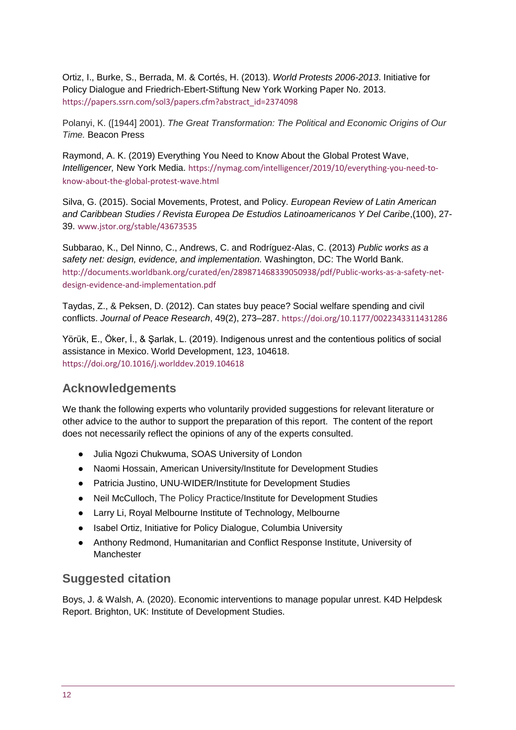Ortiz, I., Burke, S., Berrada, M. & Cortés, H. (2013). *World Protests 2006-2013*. Initiative for Policy Dialogue and Friedrich-Ebert-Stiftung New York Working Paper No. 2013. [https://papers.ssrn.com/sol3/papers.cfm?abstract\\_id=2374098](https://papers.ssrn.com/sol3/papers.cfm?abstract_id=2374098)

Polanyi, K. ([1944] 2001). *The Great Transformation: The Political and Economic Origins of Our Time.* Beacon Press

Raymond, A. K. (2019) Everything You Need to Know About the Global Protest Wave, *Intelligencer,* New York Media. [https://nymag.com/intelligencer/2019/10/everything-you-need-to](https://nymag.com/intelligencer/2019/10/everything-you-need-to-know-about-the-global-protest-wave.html)[know-about-the-global-protest-wave.html](https://nymag.com/intelligencer/2019/10/everything-you-need-to-know-about-the-global-protest-wave.html)

Silva, G. (2015). Social Movements, Protest, and Policy. *European Review of Latin American and Caribbean Studies / Revista Europea De Estudios Latinoamericanos Y Del Caribe*,(100), 27- 39. [www.jstor.org/stable/43673535](http://www.jstor.org/stable/43673535)

Subbarao, K., Del Ninno, C., Andrews, C. and Rodríguez-Alas, C. (2013) *Public works as a safety net: design, evidence, and implementation.* Washington, DC: The World Bank. [http://documents.worldbank.org/curated/en/289871468339050938/pdf/Public-works-as-a-safety-net](http://documents.worldbank.org/curated/en/289871468339050938/pdf/Public-works-as-a-safety-net-design-evidence-and-implementation.pdf)[design-evidence-and-implementation.pdf](http://documents.worldbank.org/curated/en/289871468339050938/pdf/Public-works-as-a-safety-net-design-evidence-and-implementation.pdf)

Taydas, Z., & Peksen, D. (2012). Can states buy peace? Social welfare spending and civil conflicts. *Journal of Peace Research*, 49(2), 273–287. <https://doi.org/10.1177/0022343311431286>

Yörük, E., Öker, İ., & Şarlak, L. (2019). Indigenous unrest and the contentious politics of social assistance in Mexico. World Development, 123, 104618. <https://doi.org/10.1016/j.worlddev.2019.104618>

## **Acknowledgements**

We thank the following experts who voluntarily provided suggestions for relevant literature or other advice to the author to support the preparation of this report. The content of the report does not necessarily reflect the opinions of any of the experts consulted.

- Julia Ngozi Chukwuma, SOAS University of London
- Naomi Hossain, American University/Institute for Development Studies
- Patricia Justino, UNU-WIDER/Institute for Development Studies
- Neil McCulloch, The Policy Practice/Institute for Development Studies
- Larry Li, Royal Melbourne Institute of Technology, Melbourne
- Isabel Ortiz, Initiative for Policy Dialogue, Columbia University
- Anthony Redmond, Humanitarian and Conflict Response Institute, University of Manchester

### **Suggested citation**

Boys, J. & Walsh, A. (2020). Economic interventions to manage popular unrest. K4D Helpdesk Report. Brighton, UK: Institute of Development Studies.